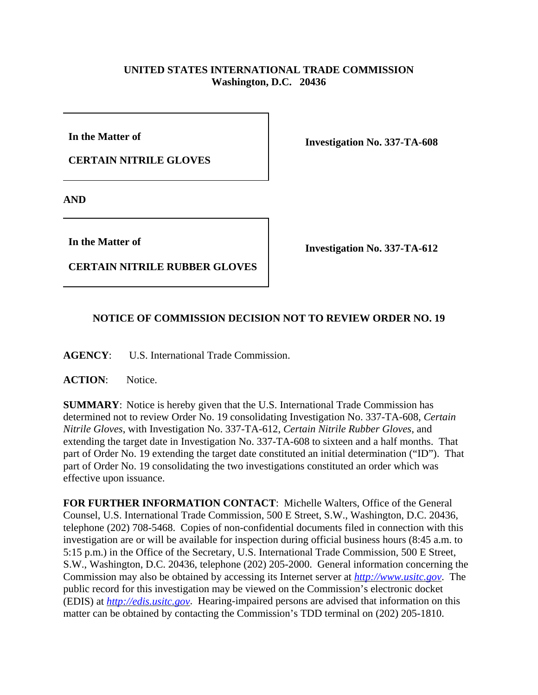## **UNITED STATES INTERNATIONAL TRADE COMMISSION Washington, D.C. 20436**

**In the Matter of** 

**CERTAIN NITRILE GLOVES**

**Investigation No. 337-TA-608**

**AND**

**In the Matter of** 

**CERTAIN NITRILE RUBBER GLOVES**

**Investigation No. 337-TA-612**

## **NOTICE OF COMMISSION DECISION NOT TO REVIEW ORDER NO. 19**

**AGENCY**: U.S. International Trade Commission.

**ACTION**: Notice.

**SUMMARY**: Notice is hereby given that the U.S. International Trade Commission has determined not to review Order No. 19 consolidating Investigation No. 337-TA-608, *Certain Nitrile Gloves*, with Investigation No. 337-TA-612, *Certain Nitrile Rubber Gloves*, and extending the target date in Investigation No. 337-TA-608 to sixteen and a half months. That part of Order No. 19 extending the target date constituted an initial determination ("ID"). That part of Order No. 19 consolidating the two investigations constituted an order which was effective upon issuance.

**FOR FURTHER INFORMATION CONTACT**: Michelle Walters, Office of the General Counsel, U.S. International Trade Commission, 500 E Street, S.W., Washington, D.C. 20436, telephone (202) 708-5468. Copies of non-confidential documents filed in connection with this investigation are or will be available for inspection during official business hours (8:45 a.m. to 5:15 p.m.) in the Office of the Secretary, U.S. International Trade Commission, 500 E Street, S.W., Washington, D.C. 20436, telephone (202) 205-2000. General information concerning the Commission may also be obtained by accessing its Internet server at *http://www.usitc.gov*. The public record for this investigation may be viewed on the Commission's electronic docket (EDIS) at *http://edis.usitc.gov*. Hearing-impaired persons are advised that information on this matter can be obtained by contacting the Commission's TDD terminal on (202) 205-1810.